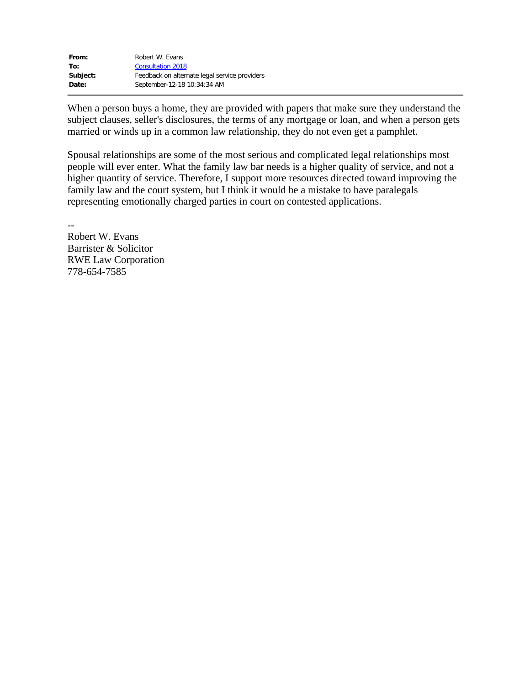| From:    | Robert W. Evans                               |
|----------|-----------------------------------------------|
| To:      | <b>Consultation 2018</b>                      |
| Subject: | Feedback on alternate legal service providers |
| Date:    | September-12-18 10:34:34 AM                   |

When a person buys a home, they are provided with papers that make sure they understand the subject clauses, seller's disclosures, the terms of any mortgage or loan, and when a person gets married or winds up in a common law relationship, they do not even get a pamphlet.

Spousal relationships are some of the most serious and complicated legal relationships most people will ever enter. What the family law bar needs is a higher quality of service, and not a higher quantity of service. Therefore, I support more resources directed toward improving the family law and the court system, but I think it would be a mistake to have paralegals representing emotionally charged parties in court on contested applications.

Robert W. Evans Barrister & Solicitor RWE Law Corporation 778-654-7585

--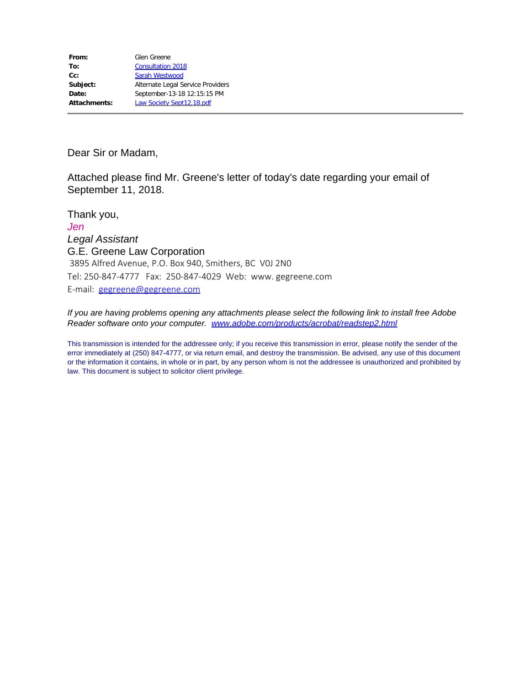Dear Sir or Madam,

Attached please find Mr. Greene's letter of today's date regarding your email of September 11, 2018.

Thank you, *Jen Legal Assistant*  G.E. Greene Law Corporation 3895 Alfred Avenue, P.O. Box 940, Smithers, BC V0J 2N0 Tel: 250-847-4777 Fax: 250-847-4029 Web: www. gegreene.com E-mail: [gegreene@gegreene.com](mailto:gegreene@gegreene.com)

*If you are having problems opening any attachments please select the following link to install free Adobe Reader software onto your computer. [www.adobe.com/products/acrobat/readstep2.html](http://www.adobe.com/products/acrobat/readstep2.html)*

This transmission is intended for the addressee only; if you receive this transmission in error, please notify the sender of the error immediately at (250) 847-4777, or via return email, and destroy the transmission. Be advised, any use of this document or the information it contains, in whole or in part, by any person whom is not the addressee is unauthorized and prohibited by law. This document is subject to solicitor client privilege.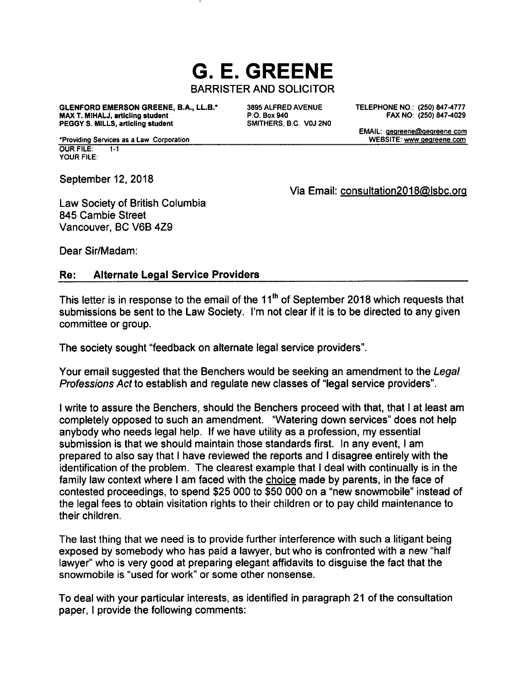# **G. E. GREENE BARRISTER AND SOLICITOR**

**GLENFORD EMERSON GREENE, B.A., LL.B.\*** MAX T. MIHALJ, articling student PEGGY S. MILLS, articling student

3895 ALFRED AVENUE P.O. Box 940 SMITHERS, B.C. V0J 2N0 TELEPHONE NO.: (250) 847-4777 FAX NO: (250) 847-4029

EMAIL: gegreene@gegreene.com

WEBSITE: www.gegreene.com

\*Providing Services as a Law Corporation **OUR FILE:**  $1.1$ **YOUR FILE:** 

September 12, 2018

Via Email: consultation2018@lsbc.org

Law Society of British Columbia 845 Cambie Street Vancouver, BC V6B 4Z9

Dear Sir/Madam:

#### **Alternate Legal Service Providers** Re:

This letter is in response to the email of the 11<sup>th</sup> of September 2018 which requests that submissions be sent to the Law Society. I'm not clear if it is to be directed to any given committee or group.

The society sought "feedback on alternate legal service providers".

Your email suggested that the Benchers would be seeking an amendment to the Legal Professions Act to establish and regulate new classes of "legal service providers".

I write to assure the Benchers, should the Benchers proceed with that, that I at least am completely opposed to such an amendment. "Watering down services" does not help anybody who needs legal help. If we have utility as a profession, my essential submission is that we should maintain those standards first. In any event, I am prepared to also say that I have reviewed the reports and I disagree entirely with the identification of the problem. The clearest example that I deal with continually is in the family law context where I am faced with the choice made by parents, in the face of contested proceedings, to spend \$25 000 to \$50 000 on a "new snowmobile" instead of the legal fees to obtain visitation rights to their children or to pay child maintenance to their children.

The last thing that we need is to provide further interference with such a litigant being exposed by somebody who has paid a lawyer, but who is confronted with a new "half lawyer" who is very good at preparing elegant affidavits to disguise the fact that the snowmobile is "used for work" or some other nonsense.

To deal with your particular interests, as identified in paragraph 21 of the consultation paper. I provide the following comments: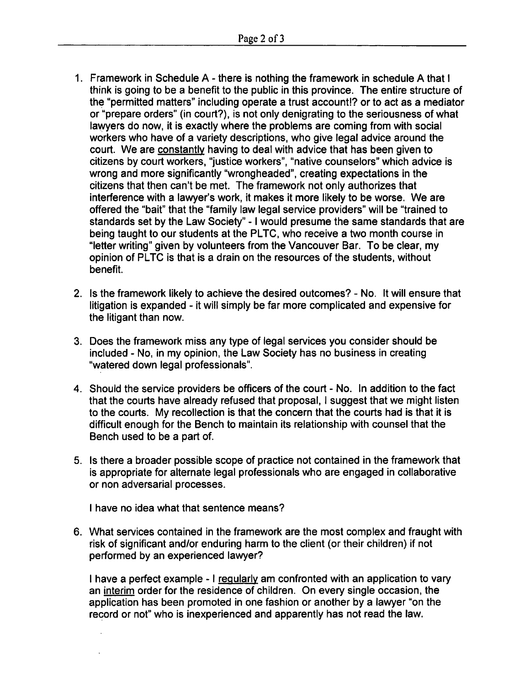- 1. Framework in Schedule A there is nothing the framework in schedule A that I think is going to be a benefit to the public in this province. The entire structure of the "permitted matters" including operate a trust account!? or to act as a mediator or "prepare orders" (in court?), is not only denigrating to the seriousness of what lawyers do now, it is exactly where the problems are coming from with social workers who have of a variety descriptions, who give legal advice around the court. We are constantly having to deal with advice that has been given to citizens by court workers, "justice workers", "native counselors" which advice is wrong and more significantly "wrongheaded", creating expectations in the citizens that then can't be met. The framework not only authorizes that interference with a lawyer's work, it makes it more likely to be worse. We are offered the "bait" that the "family law legal service providers" will be "trained to standards set by the Law Society" - I would presume the same standards that are being taught to our students at the PLTC, who receive a two month course in "letter writing" given by volunteers from the Vancouver Bar. To be clear, my opinion of PLTC is that is a drain on the resources of the students, without benefit.
- 2. Is the framework likely to achieve the desired outcomes? No. It will ensure that litigation is expanded - it will simply be far more complicated and expensive for the litigant than now.
- 3. Does the framework miss any type of legal services you consider should be included - No, in my opinion, the Law Society has no business in creating "watered down legal professionals".
- 4. Should the service providers be officers of the court No. In addition to the fact that the courts have already refused that proposal, I suggest that we might listen to the courts. My recollection is that the concern that the courts had is that it is difficult enough for the Bench to maintain its relationship with counsel that the Bench used to be a part of.
- 5. Is there a broader possible scope of practice not contained in the framework that is appropriate for alternate legal professionals who are engaged in collaborative or non adversarial processes.

I have no idea what that sentence means?

6. What services contained in the framework are the most complex and fraught with risk of significant and/or enduring harm to the client (or their children) if not performed by an experienced lawyer?

I have a perfect example - I regularly am confronted with an application to vary an interim order for the residence of children. On every single occasion, the application has been promoted in one fashion or another by a lawyer "on the record or not" who is inexperienced and apparently has not read the law.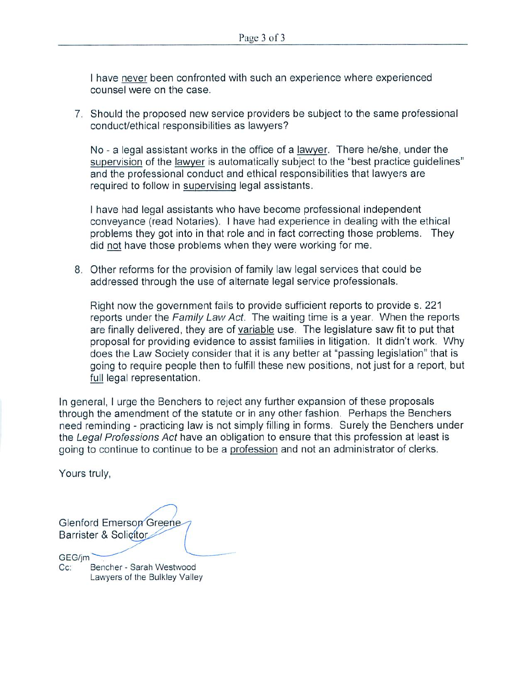I have never been confronted with such an experience where experienced counsel were on the case.

7. Should the proposed new service providers be subject to the same professional conduct/ethical responsibilities as lawyers?

No - a legal assistant works in the office of a lawyer. There he/she, under the supervision of the lawyer is automatically subject to the "best practice guidelines" and the professional conduct and ethical responsibilities that lawyers are required to follow in supervising legal assistants.

I have had legal assistants who have become professional independent conveyance (read Notaries). I have had experience in dealing with the ethical problems they got into in that role and in fact correcting those problems. They did not have those problems when they were working for me.

8. Other reforms for the provision of family law legal services that could be addressed through the use of alternate legal service professionals.

Right now the government fails to provide sufficient reports to provide s. 221 reports under the Family Law Act. The waiting time is a year. When the reports are finally delivered, they are of variable use. The legislature saw fit to put that proposal for providing evidence to assist families in litigation. It didn't work. Why does the Law Society consider that it is any better at "passing legislation" that is going to require people then to fulfill these new positions, not just for a report, but full legal representation.

In general, I urge the Benchers to reject any further expansion of these proposals through the amendment of the statute or in any other fashion. Perhaps the Benchers need reminding - practicing law is not simply filling in forms. Surely the Benchers under the Legal Professions Act have an obligation to ensure that this profession at least is going to continue to continue to be a profession and not an administrator of clerks.

Yours truly,

**Glenford Emerson Greene** Barrister & Solicitor GEG/im  $Cc$ Bencher - Sarah Westwood Lawyers of the Bulkley Valley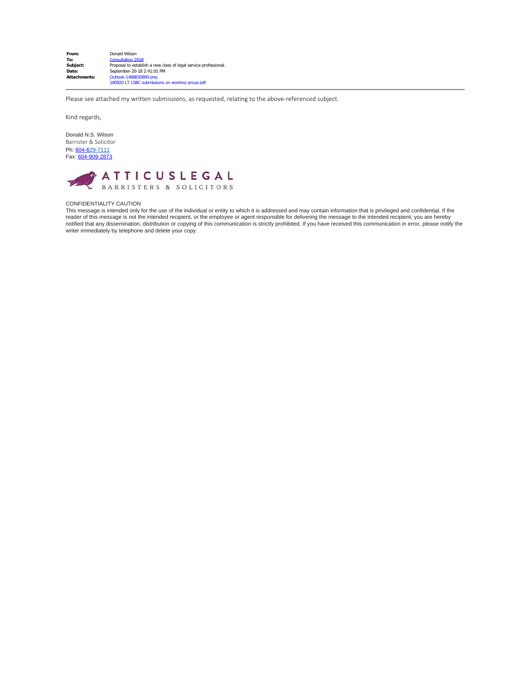| From:        | Donald Wilson                                                             |
|--------------|---------------------------------------------------------------------------|
| To:          | <b>Consultation 2018</b>                                                  |
| Subject:     | Proposal to establish a new class of legal service professional.          |
| Date:        | September-20-18 2:41:01 PM                                                |
| Attachments: | Outlook-1488830890.png<br>180920 LT LSBC submissions on working group.pdf |

Please see attached my written submissions, as requested, relating to the above-referenced subject.

Kind regards,

Donald N.S. Wilson Barrister & Solicitor Ph: <u>[604-6](tel:604-636-1871)29-7111</u><br>Fax: <u>[604-909-2873](tel:604-909-2873)</u>



#### CONFIDENTIALITY CAUTION

This message is intended only for the use of the individual or entity to which it is addressed and may contain information that is privileged and confidential. If the reader of this message is not the intended recipient, or the employee or agent responsible for delivering the message to the intended recipient, you are hereby<br>notified that any dissemination, distribution or copying of th writer immediately by telephone and delete your copy.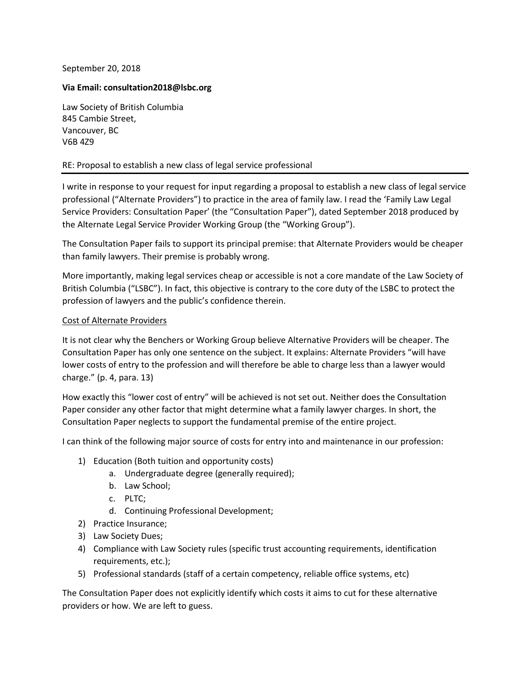## September 20, 2018

#### **Via Email: consultation2018@lsbc.org**

Law Society of British Columbia 845 Cambie Street, Vancouver, BC V6B 4Z9

#### RE: Proposal to establish a new class of legal service professional

I write in response to your request for input regarding a proposal to establish a new class of legal service professional ("Alternate Providers") to practice in the area of family law. I read the 'Family Law Legal Service Providers: Consultation Paper' (the "Consultation Paper"), dated September 2018 produced by the Alternate Legal Service Provider Working Group (the "Working Group").

The Consultation Paper fails to support its principal premise: that Alternate Providers would be cheaper than family lawyers. Their premise is probably wrong.

More importantly, making legal services cheap or accessible is not a core mandate of the Law Society of British Columbia ("LSBC"). In fact, this objective is contrary to the core duty of the LSBC to protect the profession of lawyers and the public's confidence therein.

#### Cost of Alternate Providers

It is not clear why the Benchers or Working Group believe Alternative Providers will be cheaper. The Consultation Paper has only one sentence on the subject. It explains: Alternate Providers "will have lower costs of entry to the profession and will therefore be able to charge less than a lawyer would charge." (p. 4, para. 13)

How exactly this "lower cost of entry" will be achieved is not set out. Neither does the Consultation Paper consider any other factor that might determine what a family lawyer charges. In short, the Consultation Paper neglects to support the fundamental premise of the entire project.

I can think of the following major source of costs for entry into and maintenance in our profession:

- 1) Education (Both tuition and opportunity costs)
	- a. Undergraduate degree (generally required);
	- b. Law School;
	- c. PLTC;
	- d. Continuing Professional Development;
- 2) Practice Insurance;
- 3) Law Society Dues;
- 4) Compliance with Law Society rules (specific trust accounting requirements, identification requirements, etc.);
- 5) Professional standards (staff of a certain competency, reliable office systems, etc)

The Consultation Paper does not explicitly identify which costs it aims to cut for these alternative providers or how. We are left to guess.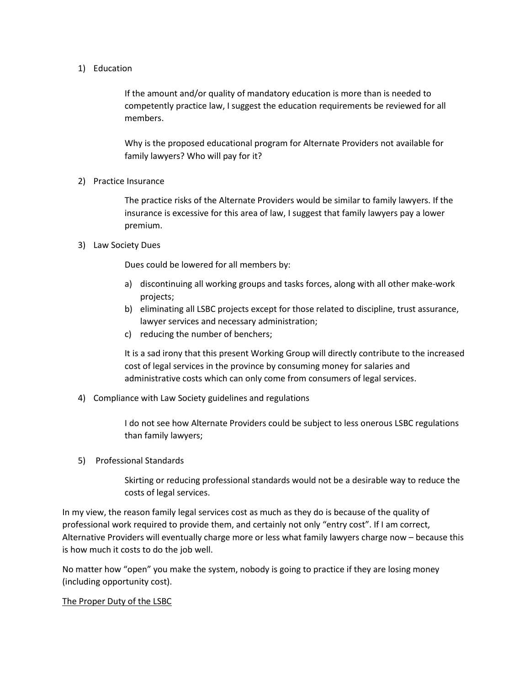## 1) Education

If the amount and/or quality of mandatory education is more than is needed to competently practice law, I suggest the education requirements be reviewed for all members.

Why is the proposed educational program for Alternate Providers not available for family lawyers? Who will pay for it?

## 2) Practice Insurance

The practice risks of the Alternate Providers would be similar to family lawyers. If the insurance is excessive for this area of law, I suggest that family lawyers pay a lower premium.

## 3) Law Society Dues

Dues could be lowered for all members by:

- a) discontinuing all working groups and tasks forces, along with all other make-work projects;
- b) eliminating all LSBC projects except for those related to discipline, trust assurance, lawyer services and necessary administration;
- c) reducing the number of benchers;

It is a sad irony that this present Working Group will directly contribute to the increased cost of legal services in the province by consuming money for salaries and administrative costs which can only come from consumers of legal services.

4) Compliance with Law Society guidelines and regulations

I do not see how Alternate Providers could be subject to less onerous LSBC regulations than family lawyers;

5) Professional Standards

Skirting or reducing professional standards would not be a desirable way to reduce the costs of legal services.

In my view, the reason family legal services cost as much as they do is because of the quality of professional work required to provide them, and certainly not only "entry cost". If I am correct, Alternative Providers will eventually charge more or less what family lawyers charge now – because this is how much it costs to do the job well.

No matter how "open" you make the system, nobody is going to practice if they are losing money (including opportunity cost).

The Proper Duty of the LSBC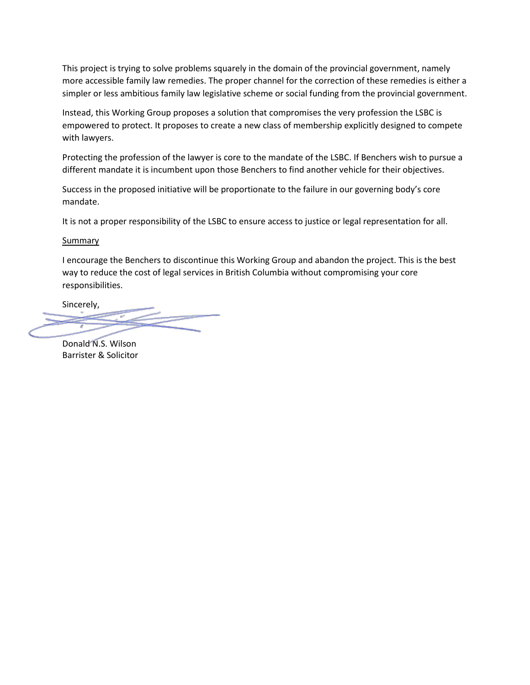This project is trying to solve problems squarely in the domain of the provincial government, namely more accessible family law remedies. The proper channel for the correction of these remedies is either a simpler or less ambitious family law legislative scheme or social funding from the provincial government.

Instead, this Working Group proposes a solution that compromises the very profession the LSBC is empowered to protect. It proposes to create a new class of membership explicitly designed to compete with lawyers.

Protecting the profession of the lawyer is core to the mandate of the LSBC. If Benchers wish to pursue a different mandate it is incumbent upon those Benchers to find another vehicle for their objectives.

Success in the proposed initiative will be proportionate to the failure in our governing body's core mandate.

It is not a proper responsibility of the LSBC to ensure access to justice or legal representation for all.

## **Summary**

I encourage the Benchers to discontinue this Working Group and abandon the project. This is the best way to reduce the cost of legal services in British Columbia without compromising your core responsibilities.

Sincerely,

Donald N.S. Wilson Barrister & Solicitor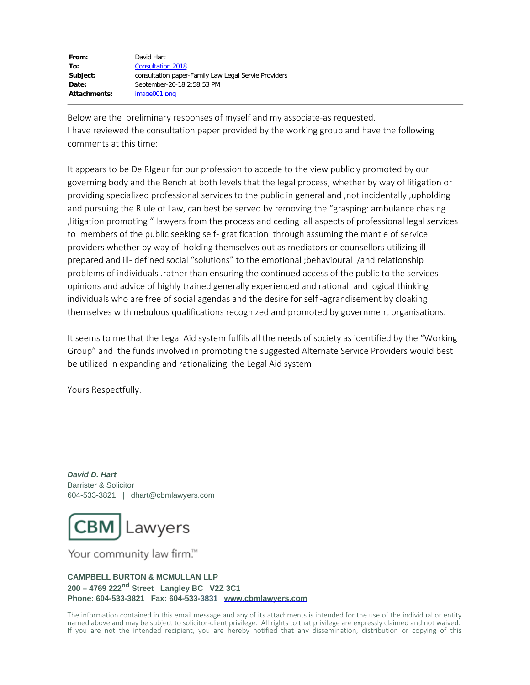| David Hart                                           |
|------------------------------------------------------|
| <b>Consultation 2018</b>                             |
| consultation paper-Family Law Legal Servie Providers |
| September-20-18 2:58:53 PM                           |
| image001.png                                         |
|                                                      |

Below are the preliminary responses of myself and my associate-as requested. I have reviewed the consultation paper provided by the working group and have the following comments at this time:

It appears to be De RIgeur for our profession to accede to the view publicly promoted by our governing body and the Bench at both levels that the legal process, whether by way of litigation or providing specialized professional services to the public in general and ,not incidentally ,upholding and pursuing the R ule of Law, can best be served by removing the "grasping: ambulance chasing ,litigation promoting " lawyers from the process and ceding all aspects of professional legal services to members of the public seeking self- gratification through assuming the mantle of service providers whether by way of holding themselves out as mediators or counsellors utilizing ill prepared and ill- defined social "solutions" to the emotional ;behavioural /and relationship problems of individuals .rather than ensuring the continued access of the public to the services opinions and advice of highly trained generally experienced and rational and logical thinking individuals who are free of social agendas and the desire for self -agrandisement by cloaking themselves with nebulous qualifications recognized and promoted by government organisations.

It seems to me that the Legal Aid system fulfils all the needs of society as identified by the "Working Group" and the funds involved in promoting the suggested Alternate Service Providers would best be utilized in expanding and rationalizing the Legal Aid system

Yours Respectfully.

*David D. Hart* Barrister & Solicitor 604-533-3821 | [dhart@cbmlawyers.com](mailto:dhart@cbmlawyers.com)



Your community law firm.™

#### **CAMPBELL BURTON & MCMULLAN LLP 200 – 4769 222nd Street Langley BC V2Z 3C1 Phone: 604-533-3821 Fax: 604-533-3831 [www.cbmlawyers.com](http://www.cbmlawyers.com/)**

The information contained in this email message and any of its attachments is intended for the use of the individual or entity named above and may be subject to solicitor-client privilege. All rights to that privilege are expressly claimed and not waived. If you are not the intended recipient, you are hereby notified that any dissemination, distribution or copying of this